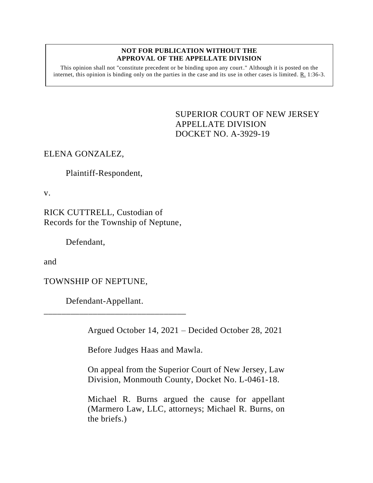## **NOT FOR PUBLICATION WITHOUT THE APPROVAL OF THE APPELLATE DIVISION**

This opinion shall not "constitute precedent or be binding upon any court." Although it is posted on the internet, this opinion is binding only on the parties in the case and its use in other cases is limited. R. 1:36-3.

> <span id="page-0-0"></span>SUPERIOR COURT OF NEW JERSEY APPELLATE DIVISION DOCKET NO. A-3929-19

## ELENA GONZALEZ,

Plaintiff-Respondent,

v.

RICK CUTTRELL, Custodian of Records for the Township of Neptune,

Defendant,

and

TOWNSHIP OF NEPTUNE,

Defendant-Appellant.

\_\_\_\_\_\_\_\_\_\_\_\_\_\_\_\_\_\_\_\_\_\_\_\_\_\_\_\_\_\_\_\_

Argued October 14, 2021 – Decided October 28, 2021

Before Judges Haas and Mawla.

On appeal from the Superior Court of New Jersey, Law Division, Monmouth County, Docket No. L-0461-18.

Michael R. Burns argued the cause for appellant (Marmero Law, LLC, attorneys; Michael R. Burns, on the briefs.)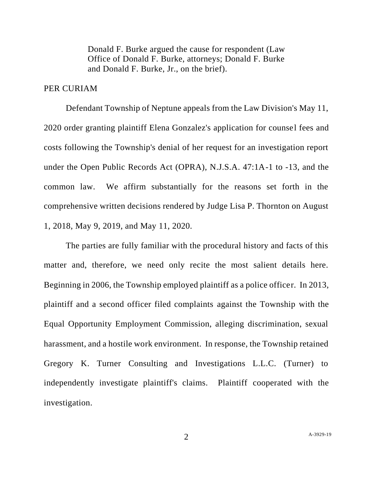Donald F. Burke argued the cause for respondent (Law Office of Donald F. Burke, attorneys; Donald F. Burke and Donald F. Burke, Jr., on the brief).

## PER CURIAM

Defendant Township of Neptune appeals from the Law Division's May 11, 2020 order granting plaintiff Elena Gonzalez's application for counsel fees and costs following the Township's denial of her request for an investigation report under the Open Public Records Act (OPRA), N.J.S.A. 47:1A-1 to -13, and the common law. We affirm substantially for the reasons set forth in the comprehensive written decisions rendered by Judge Lisa P. Thornton on August 1, 2018, May 9, 2019, and May 11, 2020.

The parties are fully familiar with the procedural history and facts of this matter and, therefore, we need only recite the most salient details here. Beginning in 2006, the Township employed plaintiff as a police officer. In 2013, plaintiff and a second officer filed complaints against the Township with the Equal Opportunity Employment Commission, alleging discrimination, sexual harassment, and a hostile work environment. In response, the Township retained Gregory K. Turner Consulting and Investigations L.L.C. (Turner) to independently investigate plaintiff's claims. Plaintiff cooperated with the investigation.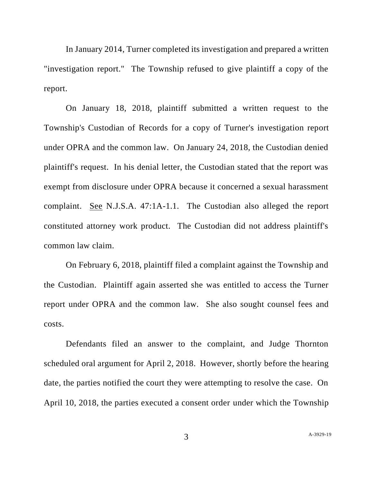In January 2014, Turner completed its investigation and prepared a written "investigation report." The Township refused to give plaintiff a copy of the report.

On January 18, 2018, plaintiff submitted a written request to the Township's Custodian of Records for a copy of Turner's investigation report under OPRA and the common law. On January 24, 2018, the Custodian denied plaintiff's request. In his denial letter, the Custodian stated that the report was exempt from disclosure under OPRA because it concerned a sexual harassment complaint. See N.J.S.A. 47:1A-1.1. The Custodian also alleged the report constituted attorney work product. The Custodian did not address plaintiff's common law claim.

On February 6, 2018, plaintiff filed a complaint against the Township and the Custodian. Plaintiff again asserted she was entitled to access the Turner report under OPRA and the common law. She also sought counsel fees and costs.

Defendants filed an answer to the complaint, and Judge Thornton scheduled oral argument for April 2, 2018. However, shortly before the hearing date, the parties notified the court they were attempting to resolve the case. On April 10, 2018, the parties executed a consent order under which the Township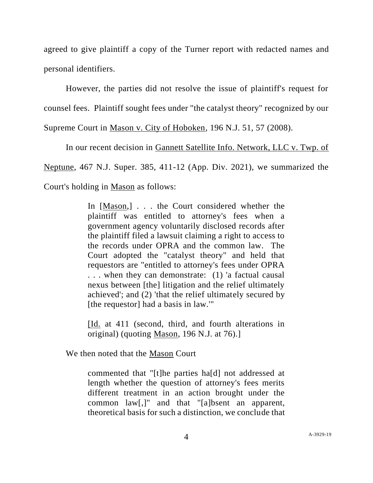agreed to give plaintiff a copy of the Turner report with redacted names and personal identifiers.

However, the parties did not resolve the issue of plaintiff's request for counsel fees. Plaintiff sought fees under "the catalyst theory" recognized by our Supreme Court in Mason v. City of Hoboken, 196 N.J. 51, 57 (2008).

In our recent decision in Gannett Satellite Info. Network, LLC v. Twp. of

Neptune, 467 N.J. Super. 385, 411-12 (App. Div. 2021), we summarized the

Court's holding in Mason as follows:

In [Mason,] . . . the Court considered whether the plaintiff was entitled to attorney's fees when a government agency voluntarily disclosed records after the plaintiff filed a lawsuit claiming a right to access to the records under OPRA and the common law. The Court adopted the "catalyst theory" and held that requestors are "entitled to attorney's fees under OPRA . . . when they can demonstrate: (1) 'a factual causal nexus between [the] litigation and the relief ultimately achieved'; and (2) 'that the relief ultimately secured by [the requestor] had a basis in law."'

[Id. at 411 (second, third, and fourth alterations in original) (quoting Mason, 196 N.J. at 76).]

We then noted that the Mason Court

commented that "[t]he parties ha[d] not addressed at length whether the question of attorney's fees merits different treatment in an action brought under the common law[,]" and that "[a]bsent an apparent, theoretical basis for such a distinction, we conclude that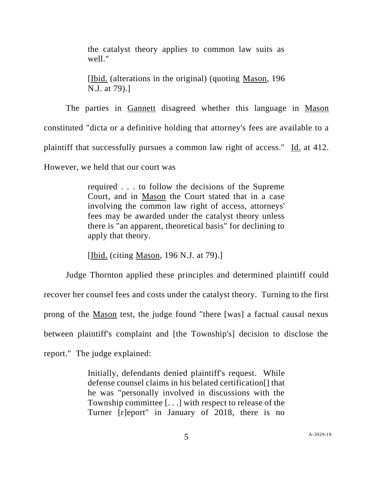the catalyst theory applies to common law suits as well."

[Ibid. (alterations in the original) (quoting Mason, 196 N.J. at 79).]

The parties in Gannett disagreed whether this language in Mason constituted "dicta or a definitive holding that attorney's fees are available to a plaintiff that successfully pursues a common law right of access." Id. at 412. However, we held that our court was

> required . . . to follow the decisions of the Supreme Court, and in Mason the Court stated that in a case involving the common law right of access, attorneys' fees may be awarded under the catalyst theory unless there is "an apparent, theoretical basis" for declining to apply that theory.

[Ibid. (citing Mason, 196 N.J. at 79).]

Judge Thornton applied these principles and determined plaintiff could recover her counsel fees and costs under the catalyst theory. Turning to the first prong of the Mason test, the judge found "there [was] a factual causal nexus between plaintiff's complaint and [the Township's] decision to disclose the report." The judge explained:

> Initially, defendants denied plaintiff's request. While defense counsel claims in his belated certification[] that he was "personally involved in discussions with the Township committee [. . .] with respect to release of the Turner [r]eport" in January of 2018, there is no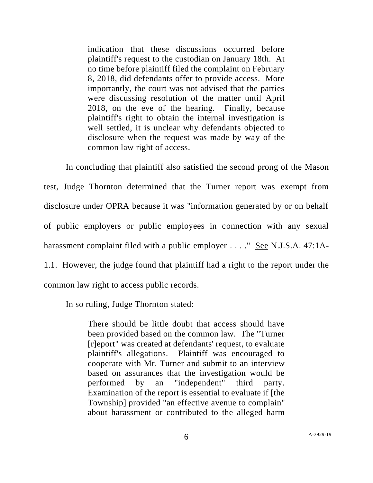indication that these discussions occurred before plaintiff's request to the custodian on January 18th. At no time before plaintiff filed the complaint on February 8, 2018, did defendants offer to provide access. More importantly, the court was not advised that the parties were discussing resolution of the matter until April 2018, on the eve of the hearing. Finally, because plaintiff's right to obtain the internal investigation is well settled, it is unclear why defendants objected to disclosure when the request was made by way of the common law right of access.

In concluding that plaintiff also satisfied the second prong of the Mason test, Judge Thornton determined that the Turner report was exempt from disclosure under OPRA because it was "information generated by or on behalf of public employers or public employees in connection with any sexual harassment complaint filed with a public employer . . . . " See N.J.S.A. 47:1A-1.1. However, the judge found that plaintiff had a right to the report under the common law right to access public records.

In so ruling, Judge Thornton stated:

There should be little doubt that access should have been provided based on the common law. The "Turner [r]eport" was created at defendants' request, to evaluate plaintiff's allegations. Plaintiff was encouraged to cooperate with Mr. Turner and submit to an interview based on assurances that the investigation would be performed by an "independent" third party. Examination of the report is essential to evaluate if [the Township] provided "an effective avenue to complain" about harassment or contributed to the alleged harm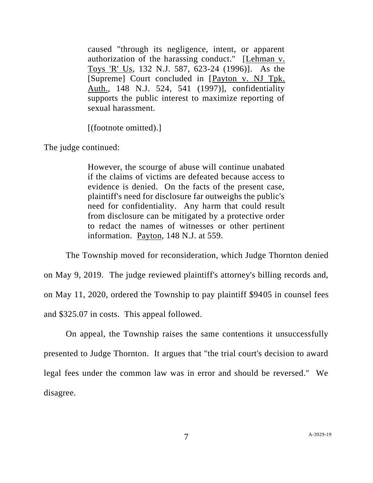caused "through its negligence, intent, or apparent authorization of the harassing conduct." [Lehman v. Toys 'R' Us, 132 N.J. 587, 623-24 (1996)]. As the [Supreme] Court concluded in [Payton v. NJ Tpk. Auth., 148 N.J. 524, 541 (1997)], confidentiality supports the public interest to maximize reporting of sexual harassment.

[(footnote omitted).]

The judge continued:

However, the scourge of abuse will continue unabated if the claims of victims are defeated because access to evidence is denied. On the facts of the present case, plaintiff's need for disclosure far outweighs the public's need for confidentiality. Any harm that could result from disclosure can be mitigated by a protective order to redact the names of witnesses or other pertinent information. Payton, 148 N.J. at 559.

The Township moved for reconsideration, which Judge Thornton denied on May 9, 2019. The judge reviewed plaintiff's attorney's billing records and, on May 11, 2020, ordered the Township to pay plaintiff \$9405 in counsel fees and \$325.07 in costs. This appeal followed.

On appeal, the Township raises the same contentions it unsuccessfully presented to Judge Thornton. It argues that "the trial court's decision to award legal fees under the common law was in error and should be reversed." We disagree.